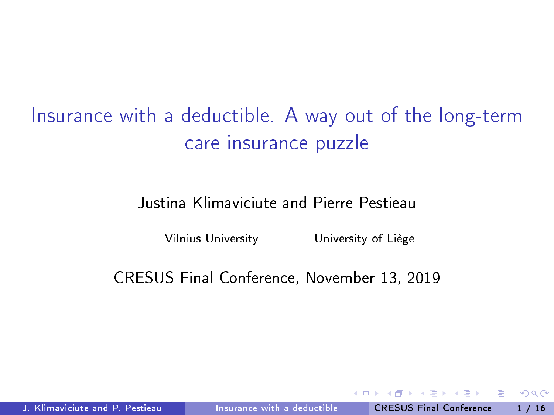<span id="page-0-0"></span>Insurance with a deductible. A way out of the long-term care insurance puzzle

Justina Klimaviciute and Pierre Pestieau

Vilnius University University of Liège

CRESUS Final Conference, November 13, 2019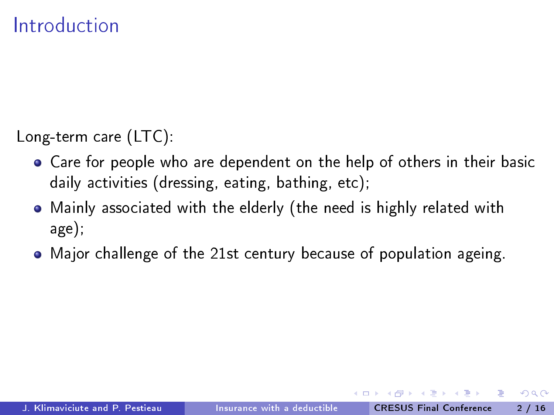Long-term care (LTC):

- Care for people who are dependent on the help of others in their basic daily activities (dressing, eating, bathing, etc);
- Mainly associated with the elderly (the need is highly related with age);
- Major challenge of the 21st century because of population ageing.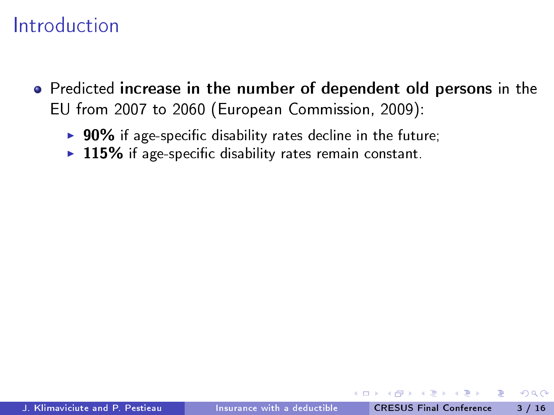- Predicted increase in the number of dependent old persons in the EU from 2007 to 2060 (European Commission, 2009):
	- $\triangleright$  90% if age-specific disability rates decline in the future;
	- $\triangleright$  115% if age-specific disability rates remain constant.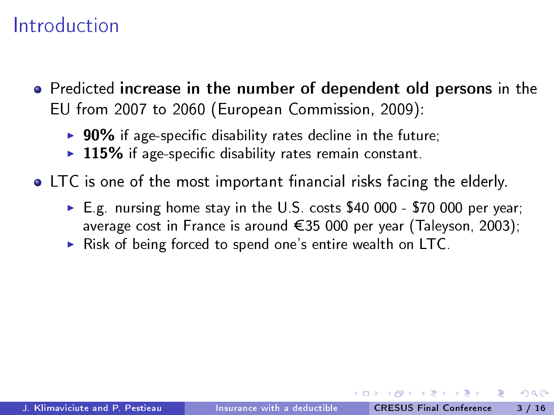- **•** Predicted increase in the number of dependent old persons in the EU from 2007 to 2060 (European Commission, 2009):
	- $\triangleright$  90% if age-specific disability rates decline in the future;
	- $\triangleright$  115% if age-specific disability rates remain constant.

 $\bullet$  LTC is one of the most important financial risks facing the elderly.

- $\triangleright$  E.g. nursing home stay in the U.S. costs \$40 000 \$70 000 per year; average cost in France is around  $\epsilon$ 35 000 per year (Taleyson, 2003);
- $\triangleright$  Risk of being forced to spend one's entire wealth on LTC.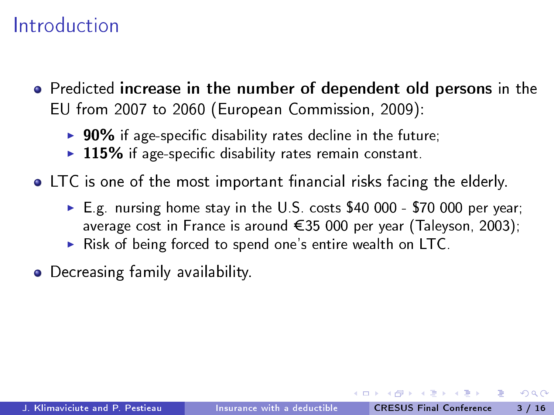- **•** Predicted increase in the number of dependent old persons in the EU from 2007 to 2060 (European Commission, 2009):
	- $\triangleright$  90% if age-specific disability rates decline in the future;
	- $\triangleright$  115% if age-specific disability rates remain constant.
- $\bullet$  LTC is one of the most important financial risks facing the elderly.
	- $\triangleright$  E.g. nursing home stay in the U.S. costs \$40 000 \$70 000 per year; average cost in France is around  $\epsilon$ 35 000 per year (Taleyson, 2003);
	- $\triangleright$  Risk of being forced to spend one's entire wealth on LTC.
- **•** Decreasing family availability.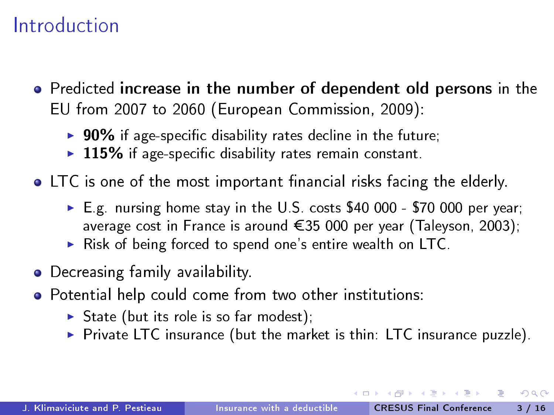- **•** Predicted increase in the number of dependent old persons in the EU from 2007 to 2060 (European Commission, 2009):
	- $\triangleright$  90% if age-specific disability rates decline in the future;
	- $\triangleright$  115% if age-specific disability rates remain constant.

 $\bullet$  LTC is one of the most important financial risks facing the elderly.

- ► E.g. nursing home stay in the U.S. costs \$40 000 \$70 000 per year; average cost in France is around  $\epsilon$ 35 000 per year (Taleyson, 2003);
- $\triangleright$  Risk of being forced to spend one's entire wealth on LTC.
- **•** Decreasing family availability.
- Potential help could come from two other institutions:
	- $\triangleright$  State (but its role is so far modest);
	- $\triangleright$  Private LTC insurance (but the market is thin: LTC insurance puzzle).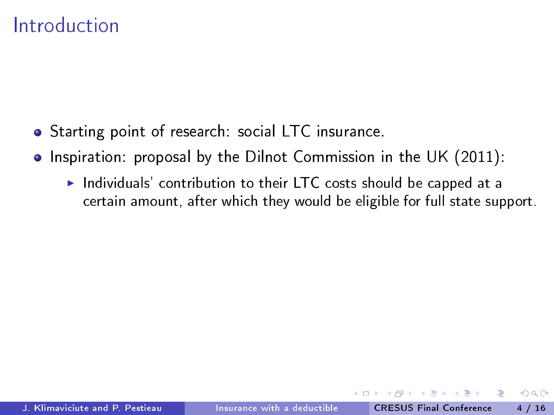- Starting point of research: social LTC insurance.
- Inspiration: proposal by the Dilnot Commission in the UK (2011):
	- $\blacktriangleright$  Individuals' contribution to their LTC costs should be capped at a certain amount, after which they would be eligible for full state support.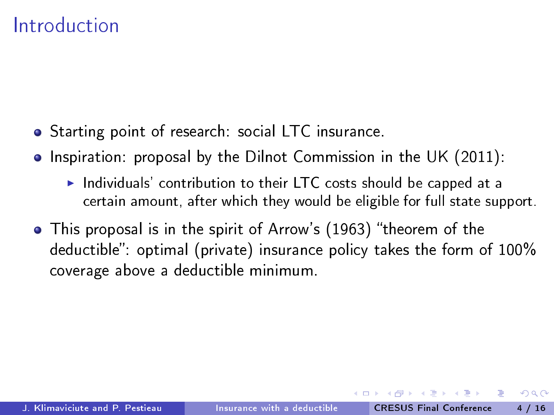- Starting point of research: social LTC insurance.
- Inspiration: proposal by the Dilnot Commission in the UK (2011):
	- $\blacktriangleright$  Individuals' contribution to their LTC costs should be capped at a certain amount, after which they would be eligible for full state support.
- This proposal is in the spirit of Arrow's (1963) "theorem of the deductible" optimal (private) insurance policy takes the form of 100% coverage above a deductible minimum.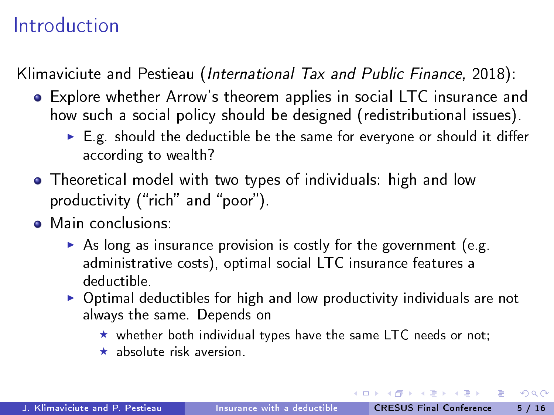Klimaviciute and Pestieau (International Tax and Public Finance, 2018):

- Explore whether Arrow's theorem applies in social LTC insurance and how such a social policy should be designed (redistributional issues).
	- $\triangleright$  E.g. should the deductible be the same for everyone or should it differ according to wealth?
- Theoretical model with two types of individuals: high and low productivity ("rich" and "poor").
- Main conclusions:
	- $\triangleright$  As long as insurance provision is costly for the government (e.g. administrative costs), optimal social LTC insurance features a deductible.
	- $\triangleright$  Optimal deductibles for high and low productivity individuals are not always the same. Depends on
		- $\star$  whether both individual types have the same LTC needs or not;
		- $\star$  absolute risk aversion.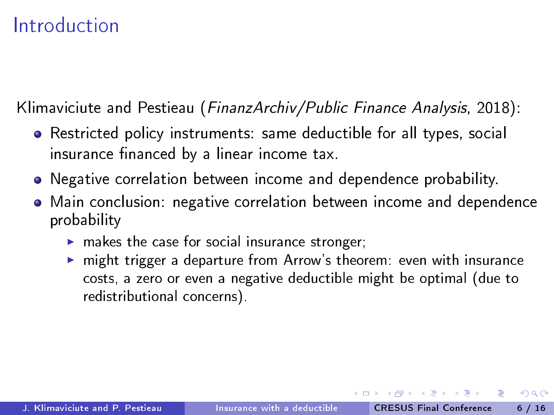Klimaviciute and Pestieau (FinanzArchiv/Public Finance Analysis, 2018):

- Restricted policy instruments: same deductible for all types, social insurance financed by a linear income tax.
- Negative correlation between income and dependence probability.
- Main conclusion: negative correlation between income and dependence probability
	- $\blacktriangleright$  makes the case for social insurance stronger;
	- $\blacktriangleright$  might trigger a departure from Arrow's theorem: even with insurance costs, a zero or even a negative deductible might be optimal (due to redistributional concerns).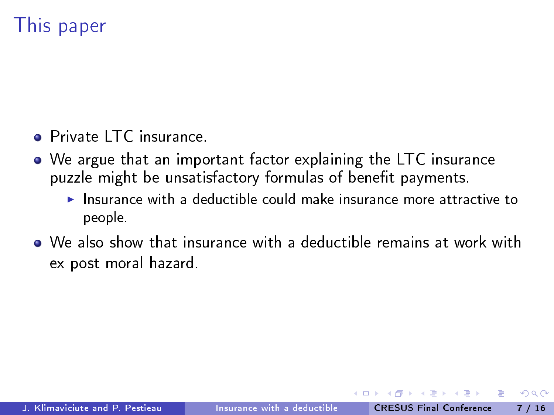# This paper

- **Private LTC** insurance.
- We argue that an important factor explaining the LTC insurance puzzle might be unsatisfactory formulas of benefit payments.
	- $\blacktriangleright$  Insurance with a deductible could make insurance more attractive to people.
- We also show that insurance with a deductible remains at work with ex post moral hazard.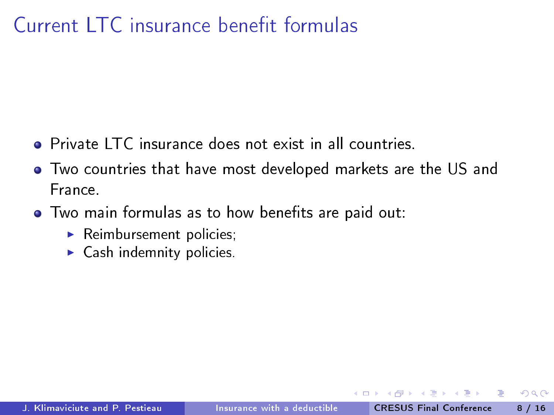## $C$ urrent  $ITC$  insurance benefit formulas

- **Private LTC** insurance does not exist in all countries.
- Two countries that have most developed markets are the US and France.
- Two main formulas as to how benefits are paid out:
	- $\blacktriangleright$  Reimbursement policies,
	- $\blacktriangleright$  Cash indemnity policies.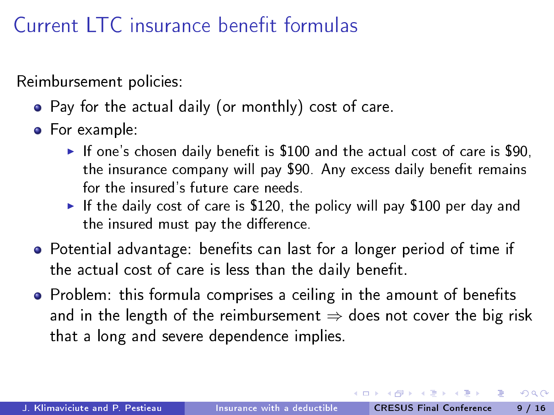## $Current$   $\overline{IC}$  insurance benefit formulas

Reimbursement policies:

- Pay for the actual daily (or monthly) cost of care.
- **•** For example:
	- If one's chosen daily benefit is  $$100$  and the actual cost of care is  $$90$ , the insurance company will pay \$90. Any excess daily benefit remains for the insured's future care needs.
	- If the daily cost of care is \$120, the policy will pay \$100 per day and the insured must pay the difference.
- Potential advantage: benefits can last for a longer period of time if the actual cost of care is less than the daily benefit.
- Problem: this formula comprises a ceiling in the amount of benefits and in the length of the reimbursement  $\Rightarrow$  does not cover the big risk that a long and severe dependence implies.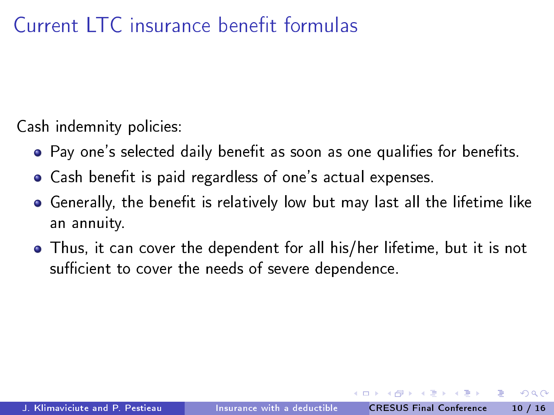# $C$ urrent  $ITC$  insurance benefit formulas

Cash indemnity policies:

- Pay one's selected daily benefit as soon as one qualifies for benefits.
- Cash benefit is paid regardless of one's actual expenses.
- $\bullet$  Generally, the benefit is relatively low but may last all the lifetime like an annuity.
- Thus, it can cover the dependent for all his/her lifetime, but it is not sufficient to cover the needs of severe dependence.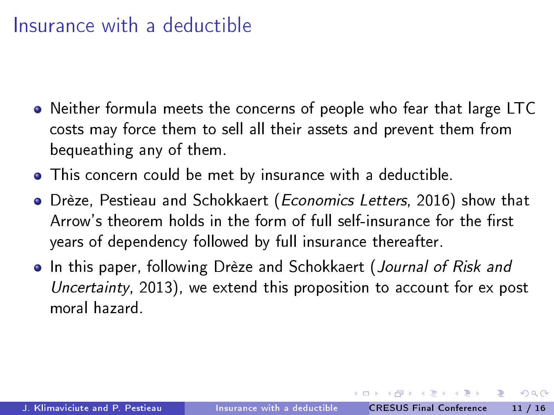#### Insurance with a deductible

- Neither formula meets the concerns of people who fear that large LTC costs may force them to sell all their assets and prevent them from bequeathing any of them.
- This concern could be met by insurance with a deductible.
- Drèze, Pestieau and Schokkaert (Economics Letters, 2016) show that Arrow's theorem holds in the form of full self-insurance for the first years of dependency followed by full insurance thereafter.
- **•** In this paper, following Drèze and Schokkaert (Journal of Risk and Uncertainty, 2013), we extend this proposition to account for ex post moral hazard.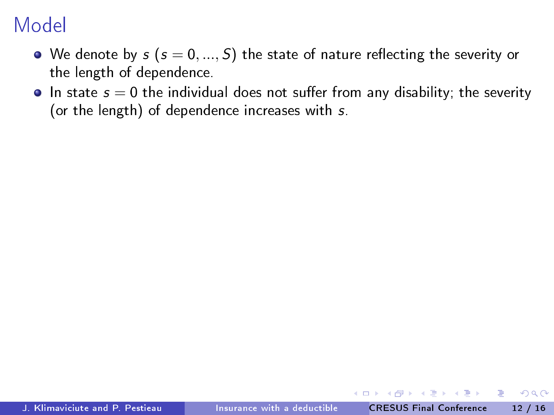- $\bullet$  We denote by  $s$  ( $s = 0, ..., S$ ) the state of nature reflecting the severity or the length of dependence.
- $\bullet$  In state  $s = 0$  the individual does not suffer from any disability; the severity (or the length) of dependence increases with s.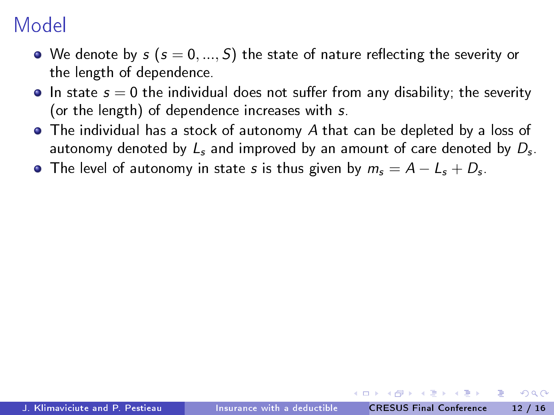- We denote by  $s$  ( $s = 0, ..., S$ ) the state of nature reflecting the severity or the length of dependence.
- $\bullet$  In state  $s = 0$  the individual does not suffer from any disability; the severity (or the length) of dependence increases with s.
- The individual has a stock of autonomy A that can be depleted by a loss of autonomy denoted by  $L_s$  and improved by an amount of care denoted by  $D_\mathsf{s}$ .
- The level of autonomy in state  $s$  is thus given by  $m_{s}=A-L_{s}+D_{s}$ .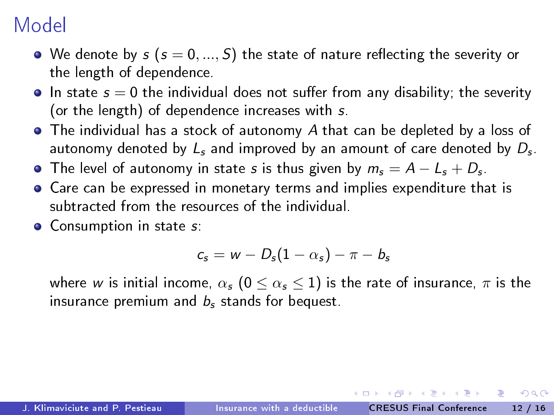- We denote by  $s$  ( $s = 0, ..., S$ ) the state of nature reflecting the severity or the length of dependence.
- $\bullet$  In state  $s = 0$  the individual does not suffer from any disability; the severity (or the length) of dependence increases with s.
- The individual has a stock of autonomy A that can be depleted by a loss of autonomy denoted by  $L_s$  and improved by an amount of care denoted by  $D_\mathsf{s}$ .
- The level of autonomy in state  $s$  is thus given by  $m_{s}=A-L_{s}+D_{s}$ .
- Care can be expressed in monetary terms and implies expenditure that is subtracted from the resources of the individual.
- **•** Consumption in state s:

$$
c_s = w - D_s(1 - \alpha_s) - \pi - b_s
$$

where w is initial income,  $\alpha_s$  ( $0 \leq \alpha_s \leq 1$ ) is the rate of insurance,  $\pi$  is the insurance premium and  $b_s$  stands for bequest.

 $\mathcal{A} \xrightarrow{\sim} \mathcal{B} \rightarrow \mathcal{A} \xrightarrow{\sim} \mathcal{B}$ J. Klimaviciute and P. Pestieau [Insurance with a deductible](#page-0-0) CRESUS Final Conference 12 / 16

 $200$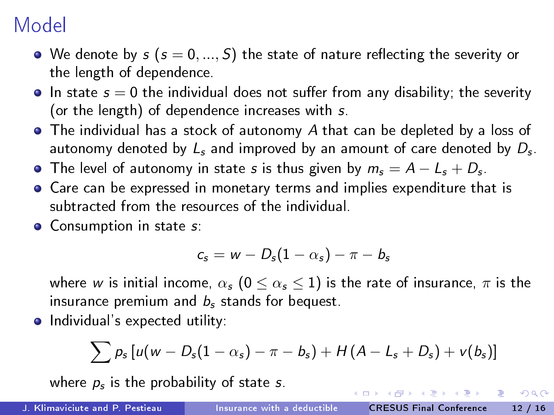- We denote by  $s$  ( $s = 0, ..., S$ ) the state of nature reflecting the severity or the length of dependence.
- $\bullet$  In state  $s = 0$  the individual does not suffer from any disability; the severity (or the length) of dependence increases with s.
- The individual has a stock of autonomy A that can be depleted by a loss of autonomy denoted by  $L_s$  and improved by an amount of care denoted by  $D_\mathsf{s}$ .
- The level of autonomy in state  $s$  is thus given by  $m_{s}=A-L_{s}+D_{s}$ .
- Care can be expressed in monetary terms and implies expenditure that is subtracted from the resources of the individual.
- **•** Consumption in state s:

$$
c_s = w - D_s(1 - \alpha_s) - \pi - b_s
$$

where w is initial income,  $\alpha_s$  ( $0 \leq \alpha_s \leq 1$ ) is the rate of insurance,  $\pi$  is the insurance premium and  $b_s$  stands for bequest.

• Individual's expected utility:

$$
\sum p_s \left[ u(w - D_s(1 - \alpha_s) - \pi - b_s) + H(A - L_s + D_s) + v(b_s) \right]
$$

where  $\rho_s$  is the probability of state  $s$ .

J. Klimaviciute and P. Pestieau [Insurance with a deductible](#page-0-0) CRESUS Final Conference 12 / 16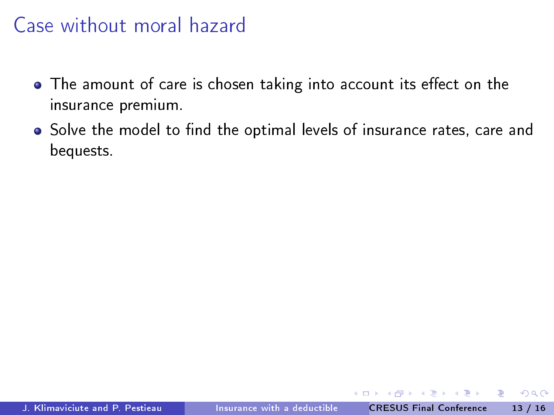- The amount of care is chosen taking into account its effect on the insurance premium.
- Solve the model to find the optimal levels of insurance rates, care and bequests.

J. Klimaviciute and P. Pestieau [Insurance with a deductible](#page-0-0) CRESUS Final Conference 13 / 16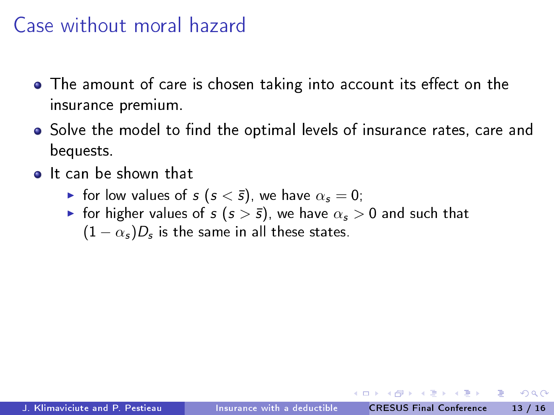- $\bullet$  The amount of care is chosen taking into account its effect on the insurance premium.
- Solve the model to find the optimal levels of insurance rates, care and bequests.
- **o** It can be shown that
	- For low values of  $s$  ( $s < \bar{s}$ ), we have  $\alpha_s = 0$ ;
	- **F** for higher values of  $s$  ( $s > \bar{s}$ ), we have  $\alpha_s > 0$  and such that  $(1-\alpha_s)D_s$  is the same in all these states.

∽≏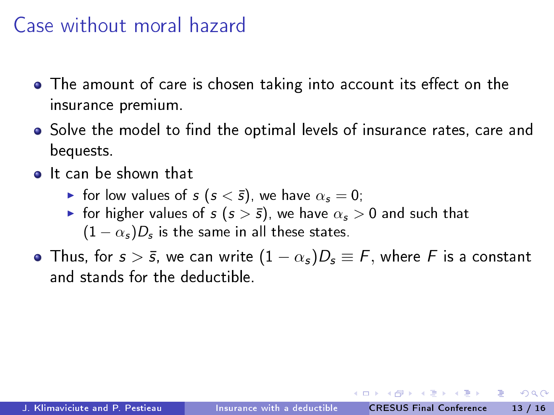- $\bullet$  The amount of care is chosen taking into account its effect on the insurance premium.
- Solve the model to find the optimal levels of insurance rates, care and bequests.
- **o** It can be shown that
	- $\triangleright$  for low values of s (s <  $\bar{s}$ ), we have  $\alpha_s = 0$ ;
	- **F** for higher values of  $s$  ( $s > \bar{s}$ ), we have  $\alpha_s > 0$  and such that  $(1-\alpha_s)D_s$  is the same in all these states.
- Thus, for  $s > \bar{s}$ , we can write  $(1 \alpha_s)D_s \equiv F$ , where F is a constant and stands for the deductible.

つへへ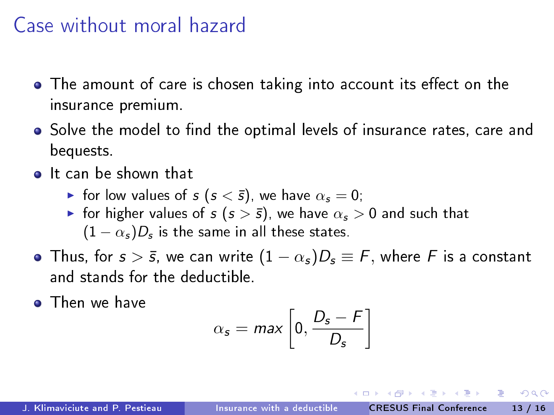- $\bullet$  The amount of care is chosen taking into account its effect on the insurance premium.
- Solve the model to find the optimal levels of insurance rates, care and bequests.
- **o** It can be shown that
	- $\triangleright$  for low values of s (s <  $\bar{s}$ ), we have  $\alpha_s = 0$ ;
	- **F** for higher values of  $s$  ( $s > \bar{s}$ ), we have  $\alpha_s > 0$  and such that  $(1-\alpha_s)D_s$  is the same in all these states.
- Thus, for  $s > \bar{s}$ , we can write  $(1 \alpha_s)D_s \equiv F$ , where F is a constant and stands for the deductible.
- **•** Then we have

$$
\alpha_s = \max\left[0, \frac{D_s - F}{D_s}\right]
$$

つへへ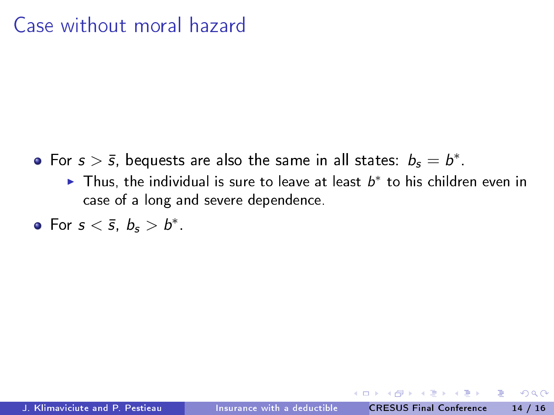- For  $s > \bar{s}$ , bequests are also the same in all states:  $b_s = b^*$ .
	- ► Thus, the individual is sure to leave at least  $b^*$  to his children even in case of a long and severe dependence.
- For  $s < \bar{s}$ ,  $b_s > b^*$ .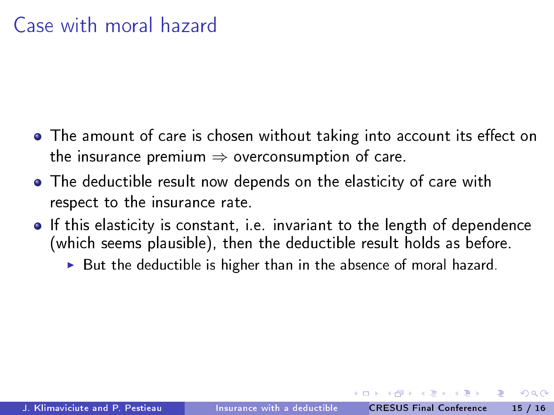- $\bullet$  The amount of care is chosen without taking into account its effect on the insurance premium  $\Rightarrow$  overconsumption of care.
- The deductible result now depends on the elasticity of care with respect to the insurance rate.
- If this elasticity is constant, i.e. invariant to the length of dependence (which seems plausible), then the deductible result holds as before.
	- $\triangleright$  But the deductible is higher than in the absence of moral hazard.